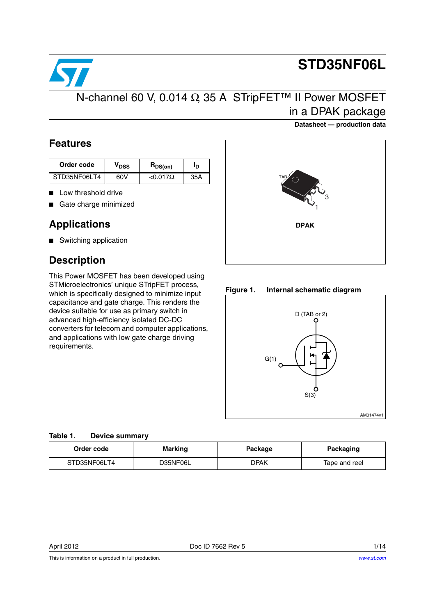

# **STD35NF06L**

### N-channel 60 V, 0.014 Ω, 35 A STripFET™ II Power MOSFET in a DPAK package

#### **Datasheet — production data**

### **Features**

| Order code   | VDSS | $H_{DS(on)}$     | סי  |
|--------------|------|------------------|-----|
| STD35NF06LT4 | 60V  | $< 0.017 \Omega$ | 35A |

- Low threshold drive
- Gate charge minimized

### **Applications**

■ Switching application

### **Description**

This Power MOSFET has been developed using STMicroelectronics' unique STripFET process, which is specifically designed to minimize input capacitance and gate charge. This renders the device suitable for use as primary switch in advanced high-efficiency isolated DC-DC converters for telecom and computer applications, and applications with low gate charge driving requirements.



#### **Figure 1. Internal schematic diagram**



#### **Table 1. Device summary**

| Order code   | Marking  |      | Packaging     |  |
|--------------|----------|------|---------------|--|
| STD35NF06LT4 | D35NF06L | DPAK | Tape and reel |  |

This is information on a product in full production.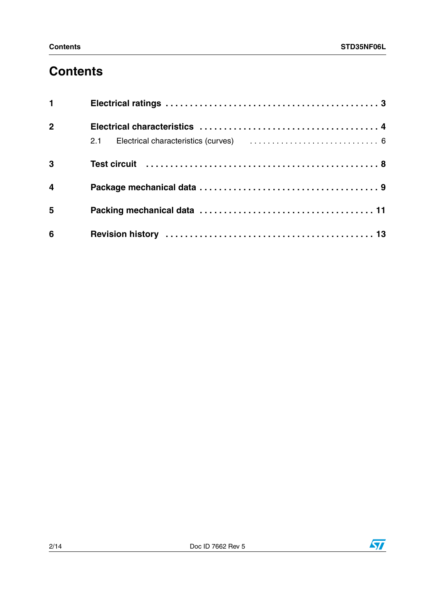### **Contents**

| $1 \quad \blacksquare$  |  |
|-------------------------|--|
| 2 <sup>1</sup>          |  |
|                         |  |
| $\overline{\mathbf{3}}$ |  |
| $\overline{\mathbf{4}}$ |  |
| 5                       |  |
| $6\phantom{1}6$         |  |

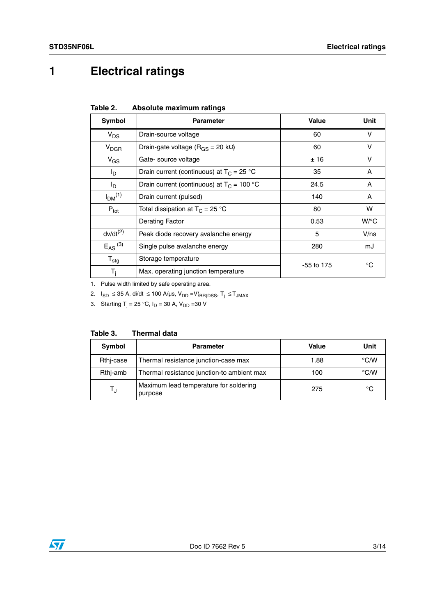## <span id="page-2-0"></span>**1 Electrical ratings**

| Table 2. | Absolute maximum ratings |  |
|----------|--------------------------|--|
|          |                          |  |

| Symbol                         | <b>Parameter</b>                                | Value        | Unit   |
|--------------------------------|-------------------------------------------------|--------------|--------|
| $V_{DS}$                       | Drain-source voltage                            | 60           | v      |
| $V_{DGR}$                      | Drain-gate voltage ( $R_{GS}$ = 20 k $\Omega$ ) | 60           | $\vee$ |
| $V_{GS}$                       | Gate- source voltage                            | ±16          | v      |
| l <sub>D</sub>                 | Drain current (continuous) at $T_C = 25$ °C     | 35           | A      |
| l <sub>D</sub>                 | Drain current (continuous) at $T_C = 100 °C$    | 24.5         | A      |
| I <sub>DM</sub> <sup>(1)</sup> | Drain current (pulsed)                          | 140          | A      |
| $P_{\text{tot}}$               | Total dissipation at $T_C = 25 °C$              | 80           | w      |
|                                | <b>Derating Factor</b>                          | 0.53         | W/°C   |
| $dv/dt^{(2)}$                  | Peak diode recovery avalanche energy            | 5            | V/ns   |
| $E_{AS}$ <sup>(3)</sup>        | Single pulse avalanche energy                   | 280          | mJ     |
| $T_{\text{stg}}$               | Storage temperature                             | $-55$ to 175 | °C     |
| $\mathsf{T}_{\mathsf{i}}$      | Max. operating junction temperature             |              |        |

1. Pulse width limited by safe operating area.

2. I<sub>SD</sub> ≤ 35 A, di/dt ≤ 100 A/µs, V<sub>DD</sub> =V(<sub>BR)DSS</sub>, T<sub>j</sub> ≤ T<sub>JMAX</sub>

3. Starting T<sub>j</sub> = 25 °C, I<sub>D</sub> = 30 A, V<sub>DD</sub> =30 V

| Table 3.<br><b>Thermal data</b> |  |
|---------------------------------|--|
|---------------------------------|--|

| Symbol    | <b>Parameter</b>                                  | Value | Unit               |
|-----------|---------------------------------------------------|-------|--------------------|
| Rthi-case | Thermal resistance junction-case max              | 1.88  | $\rm ^{\circ}$ C/W |
| Rthi-amb  | Thermal resistance junction-to ambient max        | 100   | $\degree$ C/W      |
| TJ        | Maximum lead temperature for soldering<br>purpose | 275   | °C                 |

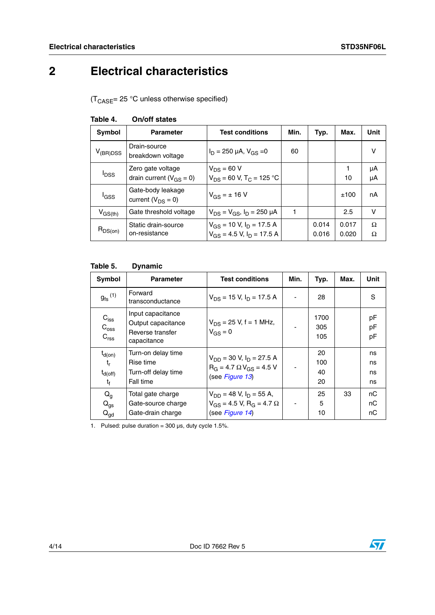## <span id="page-3-0"></span>**2 Electrical characteristics**

 $(T_{\text{CASE}} = 25 \text{ °C}$  unless otherwise specified)

| <b>Symbol</b>           | <b>Parameter</b>                                    | <b>Test conditions</b>                                              | Min. | Typ.           | Max.           | Unit     |
|-------------------------|-----------------------------------------------------|---------------------------------------------------------------------|------|----------------|----------------|----------|
| $V_{(BR)DSS}$           | Drain-source<br>breakdown voltage                   | $I_D = 250 \mu A$ , $V_{GS} = 0$                                    | 60   |                |                | v        |
| <b>I</b> <sub>DSS</sub> | Zero gate voltage<br>drain current ( $V_{GS} = 0$ ) | $V_{DS} = 60 V$<br>$V_{DS}$ = 60 V, T <sub>C</sub> = 125 °C         |      |                | 10             | μA<br>μA |
| l <sub>GSS</sub>        | Gate-body leakage<br>current $(V_{DS} = 0)$         | $V_{GS} = \pm 16 V$                                                 |      |                | ±100           | nA       |
| $V_{GS(th)}$            | Gate threshold voltage                              | $V_{DS} = V_{GS}$ , $I_D = 250 \mu A$                               |      |                | 2.5            | v        |
| $R_{DS(on)}$            | Static drain-source<br>on-resistance                | $V_{GS}$ = 10 V, $I_D$ = 17.5 A<br>$V_{GS}$ = 4.5 V, $I_D$ = 17.5 A |      | 0.014<br>0.016 | 0.017<br>0.020 | Ω<br>Ω   |

#### <span id="page-3-1"></span>**Table 4. On/off states**

#### **Table 5. Dynamic**

| Symbol                                                | <b>Parameter</b>                                                           | <b>Test conditions</b>                                                                               | Min.           | Typ.                  | Max. | Unit                 |
|-------------------------------------------------------|----------------------------------------------------------------------------|------------------------------------------------------------------------------------------------------|----------------|-----------------------|------|----------------------|
| $g_{\text{fs}}^{(1)}$                                 | Forward<br>transconductance                                                | $V_{DS}$ = 15 V, $I_D$ = 17.5 A                                                                      |                | 28                    |      | S                    |
| $C_{iss}$<br>$C_{\rm oss}$<br>C <sub>rss</sub>        | Input capacitance<br>Output capacitance<br>Reverse transfer<br>capacitance | $V_{DS}$ = 25 V, f = 1 MHz,<br>$V_{GS} = 0$                                                          |                | 1700<br>305<br>105    |      | pF<br>pF<br>рF       |
| $t_{d(on)}$<br>$t_{r}$<br>$t_{d(off)}$<br>$t_{\rm f}$ | Turn-on delay time<br>Rise time<br>Turn-off delay time<br>Fall time        | $V_{DD}$ = 30 V, $I_D$ = 27.5 A<br>$R_G = 4.7 \Omega V_{GS} = 4.5 V$<br>(see Figure 13)              |                | 20<br>100<br>40<br>20 |      | ns<br>ns<br>ns<br>ns |
| $Q_g$<br>$Q_{gs}$<br>$Q_{\text{gd}}$                  | Total gate charge<br>Gate-source charge<br>Gate-drain charge               | $V_{DD}$ = 48 V, $I_D$ = 55 A,<br>$V_{GS}$ = 4.5 V, R <sub>G</sub> = 4.7 $\Omega$<br>(see Figure 14) | $\overline{a}$ | 25<br>5<br>10         | 33   | nС<br>nС<br>nС       |

1. Pulsed: pulse duration =  $300 \,\mu s$ , duty cycle 1.5%.

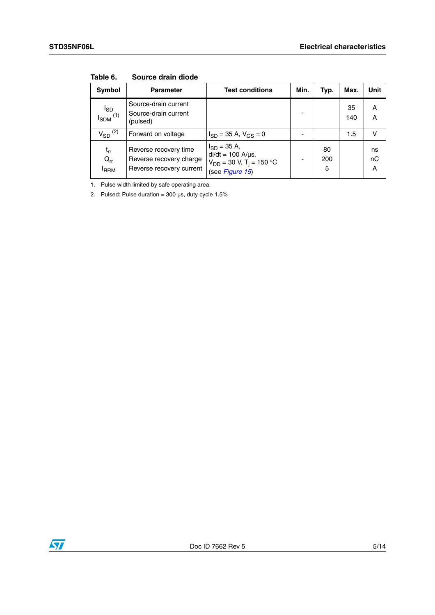| <b>Symbol</b>                        | <b>Parameter</b>                                                             | <b>Test conditions</b>                                                                                       | Min. | Typ.           | Max.      | Unit          |
|--------------------------------------|------------------------------------------------------------------------------|--------------------------------------------------------------------------------------------------------------|------|----------------|-----------|---------------|
| $I_{SD}$<br>$I_{SDM}$ <sup>(1)</sup> | Source-drain current<br>Source-drain current<br>(pulsed)                     |                                                                                                              |      |                | 35<br>140 | A<br>A        |
| $V_{SD}$ <sup>(2)</sup>              | Forward on voltage                                                           | $I_{SD}$ = 35 A, $V_{GS}$ = 0                                                                                |      |                | 1.5       | v             |
| $t_{rr}$<br>$Q_{rr}$<br><b>FRRM</b>  | Reverse recovery time<br>Reverse recovery charge<br>Reverse recovery current | $I_{SD} = 35 A,$<br>$di/dt = 100$ A/ $\mu$ s,<br>$V_{DD}$ = 30 V, T <sub>i</sub> = 150 °C<br>(see Figure 15) |      | 80<br>200<br>5 |           | ns<br>nC<br>A |

**Table 6. Source drain diode**

1. Pulse width limited by safe operating area.

2. Pulsed: Pulse duration =  $300 \,\mu s$ , duty cycle  $1.5\%$ 

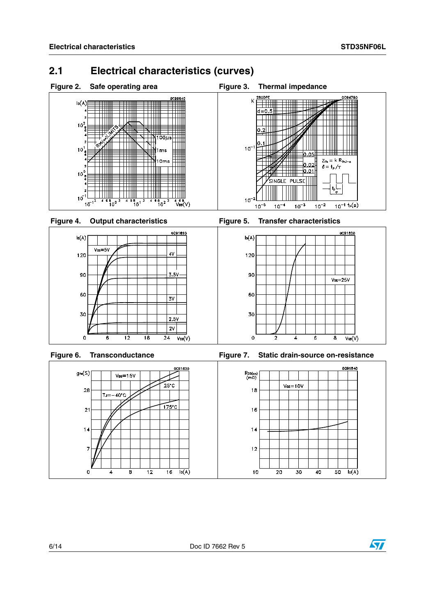### <span id="page-5-0"></span>**2.1 Electrical characteristics (curves)**













**Figure 6. Transconductance Figure 7. Static drain-source on-resistance**



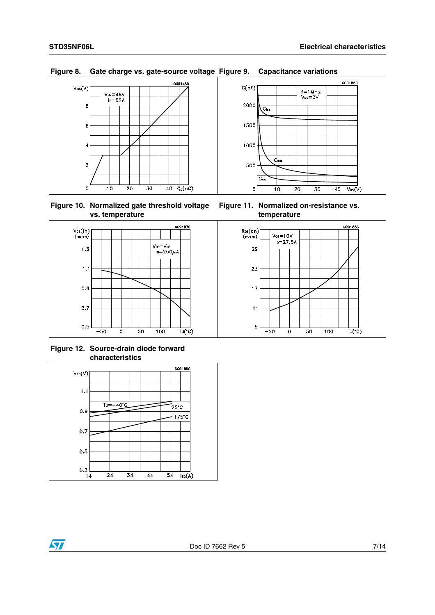

#### **Figure 8. Gate charge vs. gate-source voltage Figure 9. Capacitance variations**

**Figure 10. Normalized gate threshold voltage vs. temperature**



**Figure 12. Source-drain diode forward characteristics**



**Figure 11. Normalized on-resistance vs. temperature**

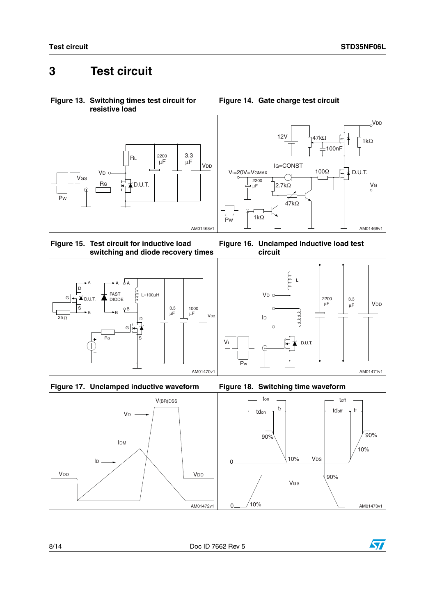### <span id="page-7-0"></span>**3 Test circuit**

<span id="page-7-1"></span>**Figure 13. Switching times test circuit for resistive load**



<span id="page-7-3"></span>**Figure 15. Test circuit for inductive load switching and diode recovery times**







#### <span id="page-7-2"></span>**Figure 14. Gate charge test circuit**











Vi

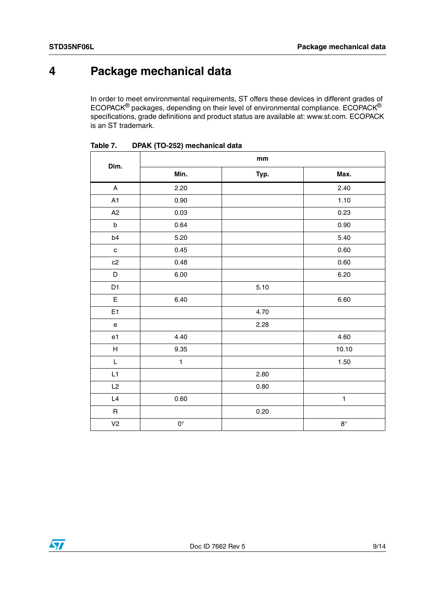### <span id="page-8-0"></span>**4 Package mechanical data**

In order to meet environmental requirements, ST offers these devices in different grades of ECOPACK® packages, depending on their level of environmental compliance. ECOPACK® specifications, grade definitions and product status are available at: www.st.com. ECOPACK is an ST trademark.

| Dim.                                       |              | mm   |              |
|--------------------------------------------|--------------|------|--------------|
|                                            | Min.         | Typ. | Max.         |
| $\boldsymbol{\mathsf{A}}$                  | 2.20         |      | 2.40         |
| A1                                         | 0.90         |      | 1.10         |
| A2                                         | 0.03         |      | 0.23         |
| $\sf b$                                    | 0.64         |      | 0.90         |
| b4                                         | 5.20         |      | 5.40         |
| $\mathbf{C}$                               | 0.45         |      | 0.60         |
| c2                                         | 0.48         |      | 0.60         |
| D                                          | 6.00         |      | 6.20         |
| D <sub>1</sub>                             |              | 5.10 |              |
| $\mathsf E$                                | 6.40         |      | 6.60         |
| E <sub>1</sub>                             |              | 4.70 |              |
| $\mathsf{e}% _{0}\left( \mathsf{e}\right)$ |              | 2.28 |              |
| e1                                         | 4.40         |      | 4.60         |
| H                                          | 9.35         |      | 10.10        |
| $\mathsf{L}$                               | $\mathbf{1}$ |      | 1.50         |
| L1                                         |              | 2.80 |              |
| L2                                         |              | 0.80 |              |
| L4                                         | 0.60         |      | $\mathbf{1}$ |
| $\mathsf R$                                |              | 0.20 |              |
| V <sub>2</sub>                             | $0^{\circ}$  |      | $8^{\circ}$  |

**Table 7. DPAK (TO-252) mechanical data**

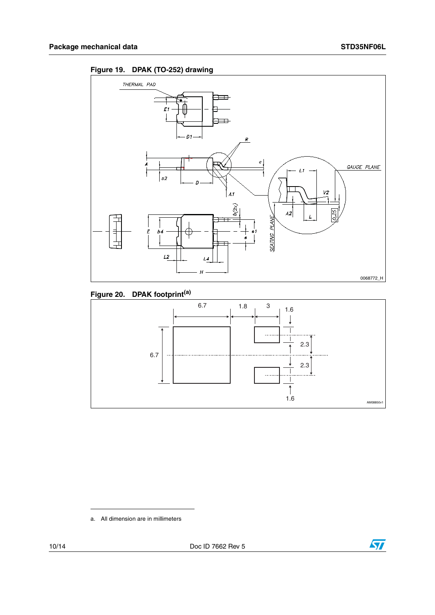



### **Figure 20. DPAK footprint(a)**



a. All dimension are in millimeters

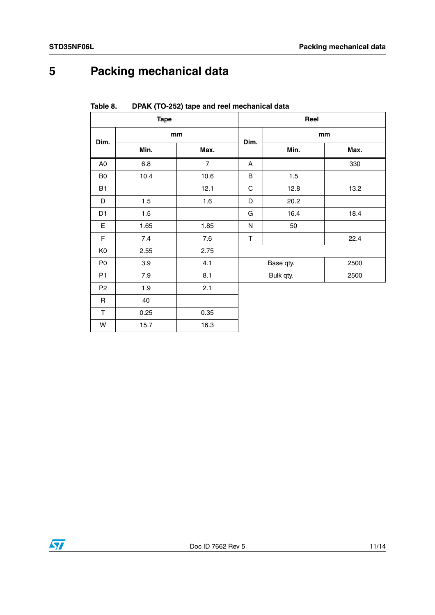## <span id="page-10-0"></span>**5 Packing mechanical data**

| <b>Tape</b>    |         |                | Reel        |           |      |  |
|----------------|---------|----------------|-------------|-----------|------|--|
| Dim.           | mm      |                | Dim.        | mm        |      |  |
|                | Min.    | Max.           |             | Min.      | Max. |  |
| A <sub>0</sub> | $6.8\,$ | $\overline{7}$ | A           |           | 330  |  |
| B <sub>0</sub> | 10.4    | 10.6           | $\sf B$     | 1.5       |      |  |
| <b>B1</b>      |         | 12.1           | $\mathsf C$ | 12.8      | 13.2 |  |
| D              | 1.5     | 1.6            | D           | 20.2      |      |  |
| D <sub>1</sub> | 1.5     |                | G           | 16.4      | 18.4 |  |
| $\mathsf E$    | 1.65    | 1.85           | N           | 50        |      |  |
| F              | 7.4     | 7.6            | $\top$      |           | 22.4 |  |
| K <sub>0</sub> | 2.55    | 2.75           |             |           |      |  |
| P <sub>0</sub> | 3.9     | 4.1            |             | Base qty. | 2500 |  |
| P <sub>1</sub> | 7.9     | 8.1            |             | Bulk qty. | 2500 |  |
| P <sub>2</sub> | 1.9     | 2.1            |             |           |      |  |
| $\mathsf R$    | 40      |                |             |           |      |  |
| $\mathsf T$    | 0.25    | 0.35           |             |           |      |  |
| W              | 15.7    | 16.3           |             |           |      |  |

**Table 8. DPAK (TO-252) tape and reel mechanical data**

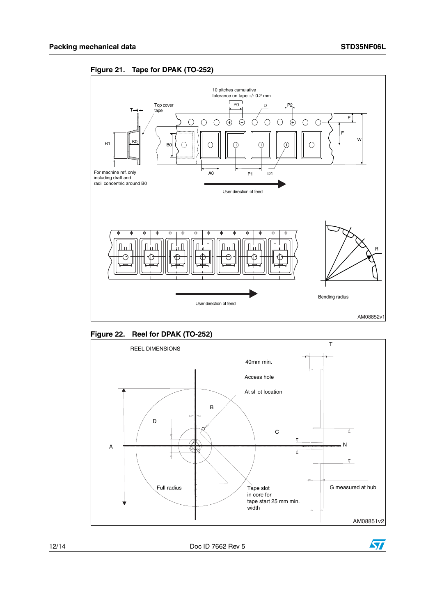









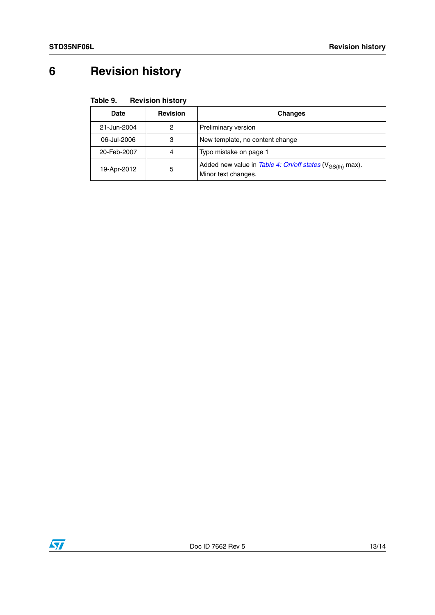## <span id="page-12-0"></span>**6 Revision history**

| Table 9. | <b>Revision history</b> |  |
|----------|-------------------------|--|
|----------|-------------------------|--|

| <b>Date</b> | <b>Revision</b> | <b>Changes</b>                                                                              |  |
|-------------|-----------------|---------------------------------------------------------------------------------------------|--|
| 21-Jun-2004 | 2               | Preliminary version                                                                         |  |
| 06-Jul-2006 | З               | New template, no content change                                                             |  |
| 20-Feb-2007 | 4               | Typo mistake on page 1                                                                      |  |
| 19-Apr-2012 | 5               | Added new value in Table 4: On/off states (V <sub>GS(th)</sub> max).<br>Minor text changes. |  |